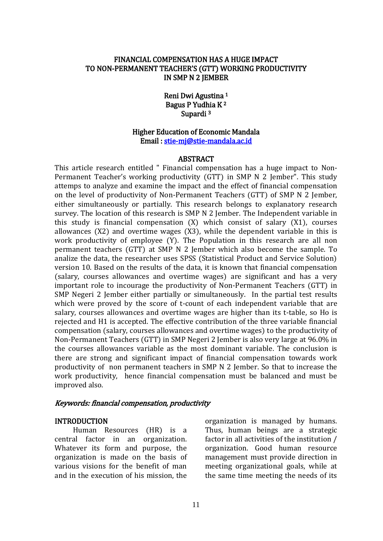### FINANCIAL COMPENSATION HAS A HUGE IMPACT TO NON-PERMANENT TEACHER'S (GTT) WORKING PRODUCTIVITY IN SMP N 2 JEMBER

Reni Dwi Agustina 1 Bagus P Yudhia K 2 Supardi<sup>3</sup>

### Higher Education of Economic Mandala Email : [stie-mj@stie-mandala.ac.id](mailto:stie-mj@stie-mandala.ac.id)

#### ABSTRACT

This article research entitled " Financial compensation has a huge impact to Non-Permanent Teacher's working productivity (GTT) in SMP N 2 Jember". This study attemps to analyze and examine the impact and the effect of financial compensation on the level of productivity of Non-Permanent Teachers (GTT) of SMP N 2 Jember, either simultaneously or partially. This research belongs to explanatory research survey. The location of this research is SMP N 2 Jember. The Independent variable in this study is financial compensation (X) which consist of salary (X1), courses allowances (X2) and overtime wages (X3), while the dependent variable in this is work productivity of employee (Y). The Population in this research are all non permanent teachers (GTT) at SMP N 2 Jember which also become the sample. To analize the data, the researcher uses SPSS (Statistical Product and Service Solution) version 10. Based on the results of the data, it is known that financial compensation (salary, courses allowances and overtime wages) are significant and has a very important role to incourage the productivity of Non-Permanent Teachers (GTT) in SMP Negeri 2 Jember either partially or simultaneously. In the partial test results which were proved by the score of t-count of each independent variable that are salary, courses allowances and overtime wages are higher than its t-table, so Ho is rejected and H1 is accepted. The effective contribution of the three variable financial compensation (salary, courses allowances and overtime wages) to the productivity of Non-Permanent Teachers (GTT) in SMP Negeri 2 Jember is also very large at 96.0% in the courses allowances variable as the most dominant variable. The conclusion is there are strong and significant impact of financial compensation towards work productivity of non permanent teachers in SMP N 2 Jember. So that to increase the work productivity, hence financial compensation must be balanced and must be improved also.

#### Keywords: financial compensation, productivity

#### INTRODUCTION

Human Resources (HR) is a central factor in an organization. Whatever its form and purpose, the organization is made on the basis of various visions for the benefit of man and in the execution of his mission, the organization is managed by humans. Thus, human beings are a strategic factor in all activities of the institution / organization. Good human resource management must provide direction in meeting organizational goals, while at the same time meeting the needs of its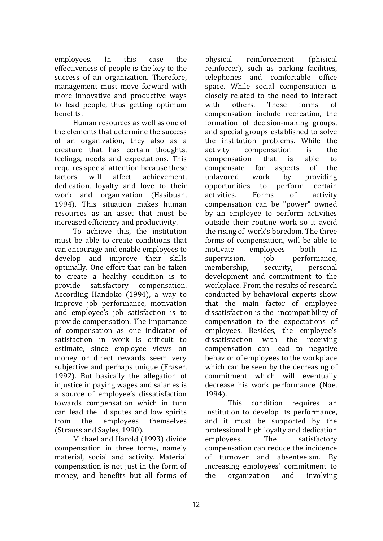employees. In this case the effectiveness of people is the key to the success of an organization. Therefore, management must move forward with more innovative and productive ways to lead people, thus getting optimum benefits.

Human resources as well as one of the elements that determine the success of an organization, they also as a creature that has certain thoughts, feelings, needs and expectations. This requires special attention because these factors will affect achievement, dedication, loyalty and love to their work and organization (Hasibuan, 1994). This situation makes human resources as an asset that must be increased efficiency and productivity.

To achieve this, the institution must be able to create conditions that can encourage and enable employees to develop and improve their skills optimally. One effort that can be taken to create a healthy condition is to provide satisfactory compensation. According Handoko (1994), a way to improve job performance, motivation and employee's job satisfaction is to provide compensation. The importance of compensation as one indicator of satisfaction in work is difficult to estimate, since employee views on money or direct rewards seem very subjective and perhaps unique (Fraser, 1992). But basically the allegation of injustice in paying wages and salaries is a source of employee's dissatisfaction towards compensation which in turn can lead the disputes and low spirits from the employees themselves (Strauss and Sayles, 1990).

Michael and Harold (1993) divide compensation in three forms, namely material, social and activity. Material compensation is not just in the form of money, and benefits but all forms of physical reinforcement (phisical reinforcer), such as parking facilities, telephones and comfortable office space. While social compensation is closely related to the need to interact with others. These forms of compensation include recreation, the formation of decision-making groups, and special groups established to solve the institution problems. While the activity compensation is the compensation that is able to compensate for aspects of the unfavored work by providing opportunities to perform certain activities. Forms of activity compensation can be "power" owned by an employee to perform activities outside their routine work so it avoid the rising of work's boredom. The three forms of compensation, will be able to motivate employees both in supervision, job performance, membership, security, personal development and commitment to the workplace. From the results of research conducted by behavioral experts show that the main factor of employee dissatisfaction is the incompatibility of compensation to the expectations of employees. Besides, the employee's dissatisfaction with the receiving compensation can lead to negative behavior of employees to the workplace which can be seen by the decreasing of commitment which will eventually decrease his work performance (Noe, 1994).

This condition requires an institution to develop its performance, and it must be supported by the professional high loyalty and dedication employees. The satisfactory compensation can reduce the incidence of turnover and absenteeism. By increasing employees' commitment to the organization and involving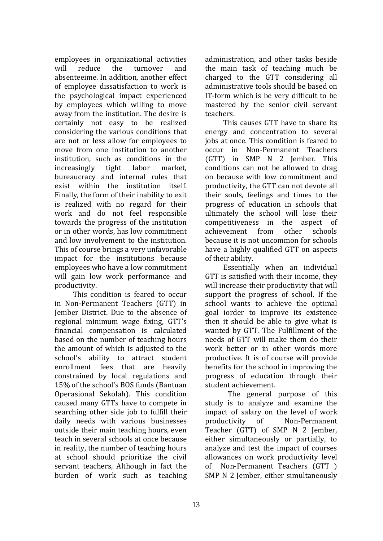employees in organizational activities will reduce the turnover and absenteeime. In addition, another effect of employee dissatisfaction to work is the psychological impact experienced by employees which willing to move away from the institution. The desire is certainly not easy to be realized considering the various conditions that are not or less allow for employees to move from one institution to another institution, such as conditions in the increasingly tight labor market, bureaucracy and internal rules that exist within the institution itself. Finally, the form of their inability to exit is realized with no regard for their work and do not feel responsible towards the progress of the institution or in other words, has low commitment and low involvement to the institution. This of course brings a very unfavorable impact for the institutions because employees who have a low commitment will gain low work performance and productivity.

This condition is feared to occur in Non-Permanent Teachers (GTT) in Jember District. Due to the absence of regional minimum wage fixing, GTT's financial compensation is calculated based on the number of teaching hours the amount of which is adjusted to the school's ability to attract student enrollment fees that are heavily constrained by local regulations and 15% of the school's BOS funds (Bantuan Operasional Sekolah). This condition caused many GTTs have to compete in searching other side job to fulfill their daily needs with various businesses outside their main teaching hours, even teach in several schools at once because in reality, the number of teaching hours at school should prioritize the civil servant teachers, Although in fact the burden of work such as teaching

administration, and other tasks beside the main task of teaching much be charged to the GTT considering all administrative tools should be based on IT-form which is be very difficult to be mastered by the senior civil servant teachers.

This causes GTT have to share its energy and concentration to several jobs at once. This condition is feared to occur in Non-Permanent Teachers (GTT) in SMP N 2 Jember. This conditions can not be allowed to drag on because with low commitment and productivity, the GTT can not devote all their souls, feelings and times to the progress of education in schools that ultimately the school will lose their competitiveness in the aspect of achievement from other schools because it is not uncommon for schools have a highly qualified GTT on aspects of their ability.

Essentially when an individual GTT is satisfied with their income, they will increase their productivity that will support the progress of school. If the school wants to achieve the optimal goal iorder to improve its existence then it should be able to give what is wanted by GTT. The Fulfillment of the needs of GTT will make them do their work better or in other words more productive. It is of course will provide benefits for the school in improving the progress of education through their student achievement.

The general purpose of this study is to analyze and examine the impact of salary on the level of work productivity of Non-Permanent Teacher (GTT) of SMP N 2 Jember, either simultaneously or partially, to analyze and test the impact of courses allowances on work productivity level of Non-Permanent Teachers (GTT ) SMP N 2 Jember, either simultaneously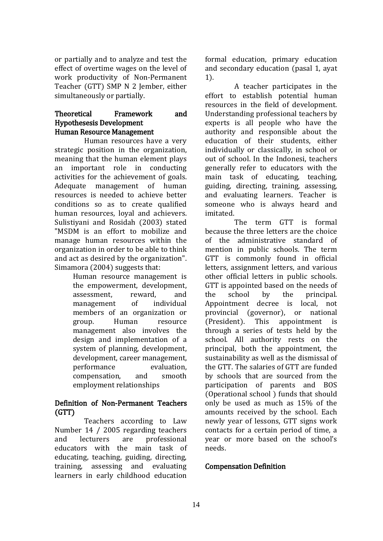or partially and to analyze and test the effect of overtime wages on the level of work productivity of Non-Permanent Teacher (GTT) SMP N 2 Jember, either simultaneously or partially.

# Theoretical Framework and Hypothesesis Development Human Resource Management

Human resources have a very strategic position in the organization, meaning that the human element plays an important role in conducting activities for the achievement of goals. Adequate management of human resources is needed to achieve better conditions so as to create qualified human resources, loyal and achievers. Sulistiyani and Rosidah (2003) stated "MSDM is an effort to mobilize and manage human resources within the organization in order to be able to think and act as desired by the organization". Simamora (2004) suggests that:

Human resource management is the empowerment, development, assessment, reward, and management of individual members of an organization or group. Human resource management also involves the design and implementation of a system of planning, development, development, career management, performance evaluation, compensation, and smooth employment relationships

# Definition of Non-Permanent Teachers (GTT)

Teachers according to Law Number 14 / 2005 regarding teachers and lecturers are professional educators with the main task of educating, teaching, guiding, directing, training, assessing and evaluating learners in early childhood education formal education, primary education and secondary education (pasal 1, ayat 1).

A teacher participates in the effort to establish potential human resources in the field of development. Understanding professional teachers by experts is all people who have the authority and responsible about the education of their students, either individually or classically, in school or out of school. In the Indonesi, teachers generally refer to educators with the main task of educating, teaching, guiding, directing, training, assessing, and evaluating learners. Teacher is someone who is always heard and imitated.

The term GTT is formal because the three letters are the choice of the administrative standard of mention in public schools. The term GTT is commonly found in official letters, assignment letters, and various other official letters in public schools. GTT is appointed based on the needs of the school by the principal. Appointment decree is local, not provincial (governor), or national (President). This appointment is through a series of tests held by the school. All authority rests on the principal, both the appointment, the sustainability as well as the dismissal of the GTT. The salaries of GTT are funded by schools that are sourced from the participation of parents and BOS (Operational school ) funds that should only be used as much as 15% of the amounts received by the school. Each newly year of lessons, GTT signs work contacts for a certain period of time, a year or more based on the school's needs.

# Compensation Definition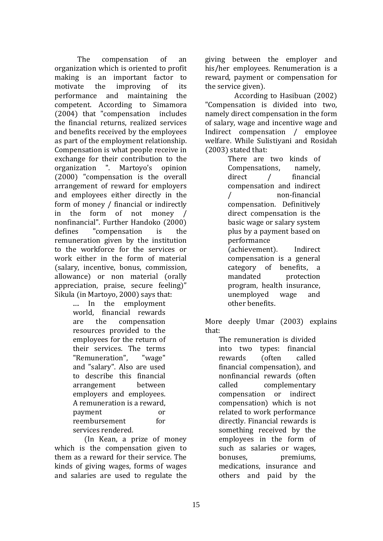The compensation of an organization which is oriented to profit making is an important factor to motivate the improving of its performance and maintaining the competent. According to Simamora (2004) that "compensation includes the financial returns, realized services and benefits received by the employees as part of the employment relationship. Compensation is what people receive in exchange for their contribution to the organization ". Martoyo's opinion (2000) "compensation is the overall arrangement of reward for employers and employees either directly in the form of money / financial or indirectly in the form of not money / nonfinancial". Further Handoko (2000) defines "compensation is the remuneration given by the institution to the workforce for the services or work either in the form of material (salary, incentive, bonus, commission, allowance) or non material (orally appreciation, praise, secure feeling)" Sikula (in Martoyo, 2000) says that:

.... In the employment world, financial rewards are the compensation resources provided to the employees for the return of their services. The terms "Remuneration", "wage" and "salary". Also are used to describe this financial arrangement between employers and employees. A remuneration is a reward, payment or reembursement for services rendered.

(In Kean, a prize of money which is the compensation given to them as a reward for their service. The kinds of giving wages, forms of wages and salaries are used to regulate the giving between the employer and his/her employees. Renumeration is a reward, payment or compensation for the service given).

According to Hasibuan (2002) "Compensation is divided into two, namely direct compensation in the form of salary, wage and incentive wage and Indirect compensation / employee welfare. While Sulistiyani and Rosidah (2003) stated that:

> There are two kinds of Compensations, namely, direct / financial compensation and indirect / non-financial compensation. Definitively direct compensation is the basic wage or salary system plus by a payment based on performance (achievement). Indirect compensation is a general category of benefits, a mandated protection program, health insurance, unemployed wage and other benefits.

More deeply Umar (2003) explains that:

The remuneration is divided into two types: financial rewards (often called financial compensation), and nonfinancial rewards (often called complementary compensation or indirect compensation) which is not related to work performance directly. Financial rewards is something received by the employees in the form of such as salaries or wages, bonuses. premiums, medications, insurance and others and paid by the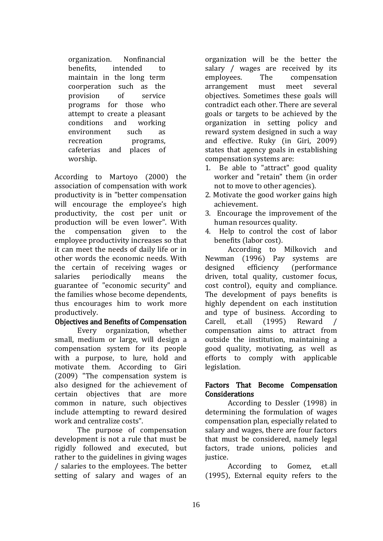organization. Nonfinancial benefits, intended to maintain in the long term coorperation such as the provision of service programs for those who attempt to create a pleasant conditions and working environment such as recreation programs, cafeterias and places of worship.

According to Martoyo (2000) the association of compensation with work productivity is in "better compensation will encourage the employee's high productivity, the cost per unit or production will be even lower". With the compensation given to the employee productivity increases so that it can meet the needs of daily life or in other words the economic needs. With the certain of receiving wages or salaries periodically means the guarantee of "economic security" and the families whose become dependents, thus encourages him to work more productively.

# Objectives and Benefits of Compensation

Every organization, whether small, medium or large, will design a compensation system for its people with a purpose, to lure, hold and motivate them. According to Giri (2009) "The compensation system is also designed for the achievement of certain objectives that are more common in nature, such objectives include attempting to reward desired work and centralize costs".

The purpose of compensation development is not a rule that must be rigidly followed and executed, but rather to the guidelines in giving wages / salaries to the employees. The better setting of salary and wages of an organization will be the better the salary / wages are received by its employees. The compensation arrangement must meet several objectives. Sometimes these goals will contradict each other. There are several goals or targets to be achieved by the organization in setting policy and reward system designed in such a way and effective. Ruky (in Giri, 2009) states that agency goals in establishing compensation systems are:

- 1. Be able to "attract" good quality worker and "retain" them (in order not to move to other agencies).
- 2. Motivate the good worker gains high achievement.
- 3. Encourage the improvement of the human resources quality.
- 4. Help to control the cost of labor benefits (labor cost).

According to Milkovich and Newman (1996) Pay systems are designed efficiency (performance driven, total quality, customer focus, cost control), equity and compliance. The development of pays benefits is highly dependent on each institution and type of business. According to Carell, et.all (1995) Reward / compensation aims to attract from outside the institution, maintaining a good quality, motivating, as well as efforts to comply with applicable legislation.

# Factors That Become Compensation Considerations

According to Dessler (1998) in determining the formulation of wages compensation plan, especially related to salary and wages, there are four factors that must be considered, namely legal factors, trade unions, policies and justice.

According to Gomez, et.all (1995), External equity refers to the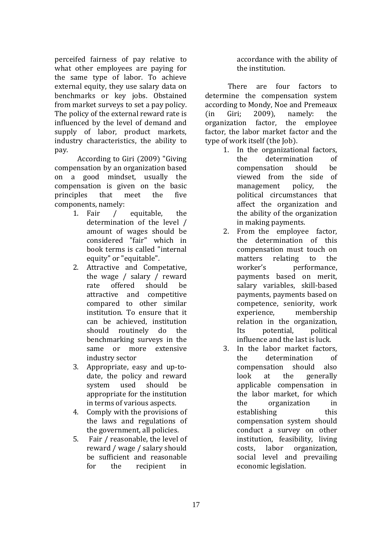perceifed fairness of pay relative to what other employees are paying for the same type of labor. To achieve external equity, they use salary data on benchmarks or key jobs. Obstained from market surveys to set a pay policy. The policy of the external reward rate is influenced by the level of demand and supply of labor, product markets, industry characteristics, the ability to pay.

According to Giri (2009) "Giving compensation by an organization based on a good mindset, usually the compensation is given on the basic principles that meet the five components, namely:

- 1. Fair / equitable, the determination of the level / amount of wages should be considered "fair" which in book terms is called "internal equity" or "equitable".
- 2. Attractive and Competative, the wage / salary / reward rate offered should be attractive and competitive compared to other similar institution. To ensure that it can be achieved, institution should routinely do the benchmarking surveys in the same or more extensive industry sector
- 3. Appropriate, easy and up-todate, the policy and reward system used should be appropriate for the institution in terms of various aspects.
- 4. Comply with the provisions of the laws and regulations of the government, all policies.
- 5. Fair / reasonable, the level of reward / wage / salary should be sufficient and reasonable for the recipient in

accordance with the ability of the institution.

There are four factors to determine the compensation system according to Mondy, Noe and Premeaux (in Giri; 2009), namely: the organization factor, the employee factor, the labor market factor and the type of work itself (the Job).

- 1. In the organizational factors, the determination of compensation should be viewed from the side of management policy, the political circumstances that affect the organization and the ability of the organization in making payments.
- 2. From the employee factor, the determination of this compensation must touch on matters relating to the worker's performance. payments based on merit, salary variables, skill-based payments, payments based on competence, seniority, work experience, membership relation in the organization, Its potential, political influence and the last is luck.
- 3. In the labor market factors, the determination of compensation should also look at the generally applicable compensation in the labor market, for which the organization in establishing this compensation system should conduct a survey on other institution, feasibility, living costs, labor organization, social level and prevailing economic legislation.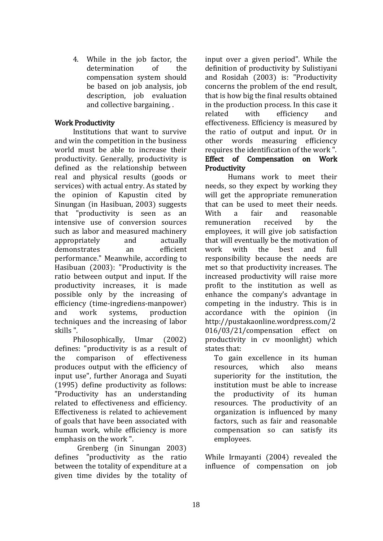4. While in the job factor, the determination of the compensation system should be based on job analysis, job description, job evaluation and collective bargaining, .

# Work Productivity

Institutions that want to survive and win the competition in the business world must be able to increase their productivity. Generally, productivity is defined as the relationship between real and physical results (goods or services) with actual entry. As stated by the opinion of Kapustin cited by Sinungan (in Hasibuan, 2003) suggests that "productivity is seen as an intensive use of conversion sources such as labor and measured machinery appropriately and actually demonstrates an efficient performance." Meanwhile, according to Hasibuan (2003): "Productivity is the ratio between output and input. If the productivity increases, it is made possible only by the increasing of efficiency (time-ingrediens-manpower) and work systems, production techniques and the increasing of labor skills ".

Philosophically, Umar (2002) defines: "productivity is as a result of the comparison of effectiveness produces output with the efficiency of input use", further Anoraga and Suyati (1995) define productivity as follows: "Productivity has an understanding related to effectiveness and efficiency. Effectiveness is related to achievement of goals that have been associated with human work, while efficiency is more emphasis on the work ".

Grenberg (in Sinungan 2003) defines "productivity as the ratio between the totality of expenditure at a given time divides by the totality of input over a given period". While the definition of productivity by Sulistiyani and Rosidah (2003) is: "Productivity concerns the problem of the end result, that is how big the final results obtained in the production process. In this case it related with efficiency and effectiveness. Efficiency is measured by the ratio of output and input. Or in other words measuring efficiency requires the identification of the work ". Effect of Compensation on Work **Productivity** 

Humans work to meet their needs, so they expect by working they will get the appropriate remuneration that can be used to meet their needs. With a fair and reasonable remuneration received by the employees, it will give job satisfaction that will eventually be the motivation of work with the best and full responsibility because the needs are met so that productivity increases. The increased productivity will raise more profit to the institution as well as enhance the company's advantage in competing in the industry. This is in accordance with the opinion (in http://pustakaonline.wordpress.com/2 016/03/21/compensation effect on productivity in cv moonlight) which states that:

To gain excellence in its human resources, which also means superiority for the institution, the institution must be able to increase the productivity of its human resources. The productivity of an organization is influenced by many factors, such as fair and reasonable compensation so can satisfy its employees.

While Irmayanti (2004) revealed the influence of compensation on job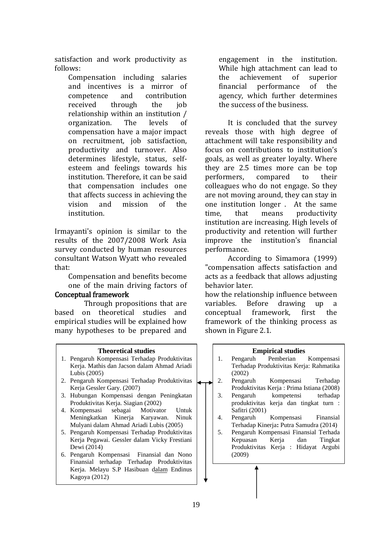satisfaction and work productivity as follows:

> Compensation including salaries and incentives is a mirror of competence and contribution received through the job relationship within an institution / organization. The levels of compensation have a major impact on recruitment, job satisfaction, productivity and turnover. Also determines lifestyle, status, selfesteem and feelings towards his institution. Therefore, it can be said that compensation includes one that affects success in achieving the vision and mission of the institution.

Irmayanti's opinion is similar to the results of the 2007/2008 Work Asia survey conducted by human resources consultant Watson Wyatt who revealed that:

Compensation and benefits become one of the main driving factors of

### Conceptual framework

Through propositions that are based on theoretical studies and empirical studies will be explained how many hypotheses to be prepared and

#### **Theoretical studies**

- 1. Pengaruh Kompensasi Terhadap Produktivitas Kerja. Mathis dan Jacson dalam Ahmad Ariadi Lubis (2005)
- 2. Pengaruh Kompensasi Terhadap Produktivitas Kerja Gessler Gary. (2007)
- 3. Hubungan Kompensasi dengan Peningkatan Produktivitas Kerja. Siagian (2002)
- 4. Kompensasi sebagai Motivator Untuk Meningkatkan Kinerja Karyawan. Ninuk Mulyani dalam Ahmad Ariadi Lubis (2005)
- 5. Pengaruh Kompensasi Terhadap Produktivitas Kerja Pegawai. Gessler dalam Vicky Frestiani Dewi (2014)
- 6. Pengaruh Kompensasi Finansial dan Nono Finansial terhadap Terhadap Produktivitas Kerja. Melayu S.P Hasibuan dalam Endinus Kagoya (2012)

engagement in the institution. While high attachment can lead to the achievement of superior financial performance of the agency, which further determines the success of the business.

It is concluded that the survey reveals those with high degree of attachment will take responsibility and focus on contributions to institution's goals, as well as greater loyalty. Where they are 2.5 times more can be top performers, compared to their colleagues who do not engage. So they are not moving around, they can stay in one institution longer . At the same time, that means productivity institution are increasing. High levels of productivity and retention will further improve the institution's financial performance.

According to Simamora (1999) "compensation affects satisfaction and acts as a feedback that allows adjusting behavior later.

how the relationship influence between variables. Before drawing up a conceptual framework, first the framework of the thinking process as shown in Figure 2.1.

#### **Empirical studies**

- 1. Pengaruh Pemberian Kompensasi Terhadap Produktivitas Kerja: Rahmatika (2002)
- 2. Pengaruh Kompensasi Terhadap Produktivitas Kerja : Prima Istiana (2008)
- 3. Pengaruh kompetensi terhadap produktivitas kerja dan tingkat turn : Safitri (2001)
- 4. Pengaruh Kompensasi Finansial Terhadap Kinerja**:** Putra Samudra (2014)
- 5. Pengaruh Kompensasi Finansial Terhada Kepuasan Kerja dan Tingkat Produktivitas Kerja : Hidayat Argubi (2009)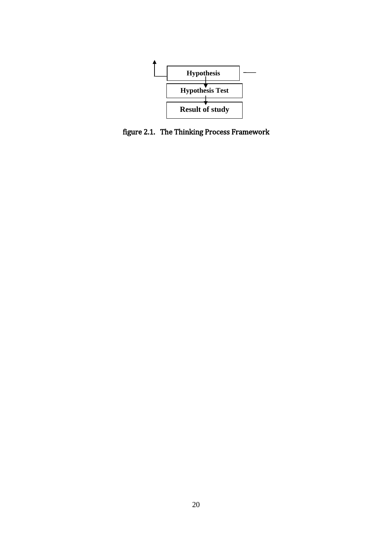

figure 2.1. The Thinking Process Framework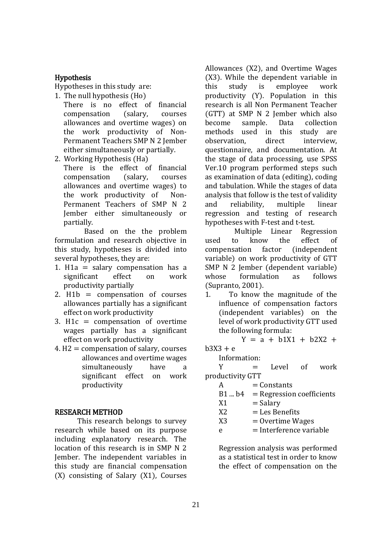# Hypothesis

Hypotheses in this study are:

- 1. The null hypothesis (Ho)
	- There is no effect of financial compensation (salary, courses allowances and overtime wages) on the work productivity of Non-Permanent Teachers SMP N 2 Jember either simultaneously or partially.

2. Working Hypothesis (Ha)

There is the effect of financial compensation (salary, courses allowances and overtime wages) to the work productivity of Non-Permanent Teachers of SMP N 2 Jember either simultaneously or partially.

Based on the the problem formulation and research objective in this study, hypotheses is divided into several hypotheses, they are:

- 1. H1a  $=$  salary compensation has a significant effect on work productivity partially
- 2.  $H1b =$  compensation of courses allowances partially has a significant effect on work productivity
- 3. H1 $c =$  compensation of overtime wages partially has a significant effect on work productivity
- $4. H2 =$  compensation of salary, courses allowances and overtime wages simultaneously have a significant effect on work productivity

# RESEARCH METHOD

This research belongs to survey research while based on its purpose including explanatory research. The location of this research is in SMP N 2 Jember. The independent variables in this study are financial compensation (X) consisting of Salary (X1), Courses Allowances (X2), and Overtime Wages (X3). While the dependent variable in this study is employee work productivity (Y). Population in this research is all Non Permanent Teacher (GTT) at SMP N 2 Jember which also become sample. Data collection methods used in this study are observation, direct interview, questionnaire, and documentation. At the stage of data processing, use SPSS Ver.10 program performed steps such as examination of data (editing), coding and tabulation. While the stages of data analysis that follow is the test of validity and reliability, multiple linear regression and testing of research hypotheses with F-test and t-test.

Multiple Linear Regression used to know the effect of compensation factor (independent variable) on work productivity of GTT SMP N 2 Jember (dependent variable) whose formulation as follows (Supranto, 2001).

1. To know the magnitude of the influence of compensation factors (independent variables) on the level of work productivity GTT used the following formula:

Y = a + b1X1 + b2X2 +

# $b3X3 + e$

Information:

 $Y = Level$  of work productivity GTT

 $A =$ Constants

|     | $B1 \dots b4 = Regression coefficients$ |
|-----|-----------------------------------------|
| X1  | $=$ Salary                              |
| ັນາ | $\overline{a}$ Lee Depart to            |

- $X2 =$ Les Benefits
- $X3 = 0$  vertime Wages
- $e =$ Interference variable

Regression analysis was performed as a statistical test in order to know the effect of compensation on the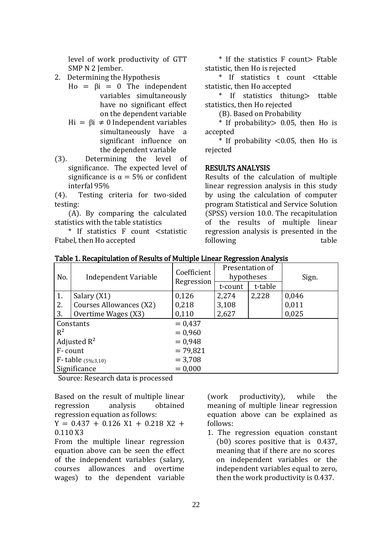level of work productivity of GTT SMP N 2 Jember.

- 2. Determining the Hypothesis
	- Ho =  $\beta i = 0$  The independent variables simultaneously have no significant effect on the dependent variable
	- Hi =  $βi ≠ 0$  Independent variables simultaneously have a significant influence on the dependent variable
- (3). Determining the level of significance. The expected level of significance is  $\alpha = 5\%$  or confident interfal 95%

(4). Testing criteria for two-sided testing:

(A). By comparing the calculated statistics with the table statistics

\* If statistics F count <statistic Ftabel, then Ho accepted

\* If the statistics F count> Ftable statistic, then Ho is rejected

\* If statistics t count <ttable statistic, then Ho accepted

\* If statistics thitung> ttable statistics, then Ho rejected

(B). Based on Probability

\* If probability> 0.05, then Ho is accepted

 $*$  If probability  $< 0.05$ , then Ho is rejected

# RESULTS ANALYSIS

Results of the calculation of multiple linear regression analysis in this study by using the calculation of computer program Statistical and Service Solution (SPSS) version 10.0. The recapitulation of the results of multiple linear regression analysis is presented in the following table

| No.                      | Independent Variable    | Coefficient<br>Regression | Presentation of<br>hypotheses |         | Sign. |
|--------------------------|-------------------------|---------------------------|-------------------------------|---------|-------|
|                          |                         |                           | t-count                       | t-table |       |
| 1.                       | Salary (X1)             | 0,126                     | 2,274                         | 2,228   | 0,046 |
| 2.                       | Courses Allowances (X2) | 0,218                     | 3,108                         |         | 0,011 |
| 3.                       | Overtime Wages (X3)     | 0,110                     | 2,627                         |         | 0,025 |
| Constants                |                         | $= 0.437$                 |                               |         |       |
| $R^2$                    |                         | $= 0.960$                 |                               |         |       |
|                          | Adjusted $R^2$          | $= 0.948$                 |                               |         |       |
| F-count                  |                         | $= 79,821$                |                               |         |       |
| $F$ - table $(5\%;3,10)$ |                         | $= 3,708$                 |                               |         |       |
| Significance             |                         | $= 0,000$                 |                               |         |       |

Table 1. Recapitulation of Results of Multiple Linear Regression Analysis

Source: Research data is processed

Based on the result of multiple linear regression analysis obtained regression equation as follows:

 $Y = 0.437 + 0.126 X1 + 0.218 X2 +$ 0.110 X3

From the multiple linear regression equation above can be seen the effect of the independent variables (salary, courses allowances and overtime wages) to the dependent variable

(work productivity), while the meaning of multiple linear regression equation above can be explained as follows:

1. The regression equation constant (b0) scores positive that is 0.437, meaning that if there are no scores on independent variables or the independent variables equal to zero, then the work productivity is 0.437.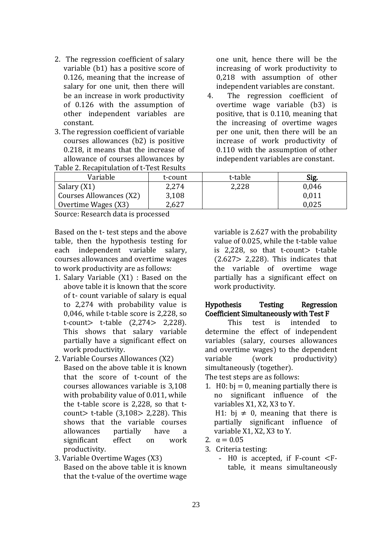- 2. The regression coefficient of salary variable (b1) has a positive score of 0.126, meaning that the increase of salary for one unit, then there will be an increase in work productivity of 0.126 with the assumption of other independent variables are constant.
- 3. The regression coefficient of variable courses allowances (b2) is positive 0.218, it means that the increase of allowance of courses allowances by Table 2. Recapitulation of t-Test Results

one unit, hence there will be the increasing of work productivity to 0,218 with assumption of other independent variables are constant.

4. The regression coefficient of overtime wage variable (b3) is positive, that is 0.110, meaning that the increasing of overtime wages per one unit, then there will be an increase of work productivity of 0.110 with the assumption of other independent variables are constant.

| Variable                | t-count | t-table | Sig.  |
|-------------------------|---------|---------|-------|
| Salary (X1)             | 2,274   | 2,228   | 0.046 |
| Courses Allowances (X2) | 3,108   |         | 0,011 |
| Overtime Wages (X3)     | 2,627   |         | 0.025 |

Source: Research data is processed

Based on the t- test steps and the above table, then the hypothesis testing for each independent variable salary, courses allowances and overtime wages to work productivity are as follows:

- 1. Salary Variable (X1) : Based on the above table it is known that the score of t- count variable of salary is equal to 2,274 with probability value is 0,046, while t-table score is 2,228, so t-count> t-table (2,274> 2,228). This shows that salary variable partially have a significant effect on work productivity.
- 2. Variable Courses Allowances (X2)

Based on the above table it is known that the score of t-count of the courses allowances variable is 3,108 with probability value of 0.011, while the t-table score is 2,228, so that tcount> t-table (3,108> 2,228). This shows that the variable courses allowances partially have a significant effect on work productivity.

3. Variable Overtime Wages (X3) Based on the above table it is known that the t-value of the overtime wage variable is 2.627 with the probability value of 0.025, while the t-table value is  $2.228$ , so that t-count t-table  $(2.627 > 2.228)$ . This indicates that the variable of overtime wage partially has a significant effect on work productivity.

# Hypothesis Testing Regression Coefficient Simultaneously with Test F

This test is intended to determine the effect of independent variables (salary, courses allowances and overtime wages) to the dependent variable (work productivity) simultaneously (together).

The test steps are as follows:

- 1. H $0:$  bi = 0, meaning partially there is no significant influence of the variables X1, X2, X3 to Y. H1: bi  $\neq$  0, meaning that there is partially significant influence of variable X1, X2, X3 to Y.
- 2.  $\alpha = 0.05$
- 3. Criteria testing:
	- H0 is accepted, if F-count <Ftable, it means simultaneously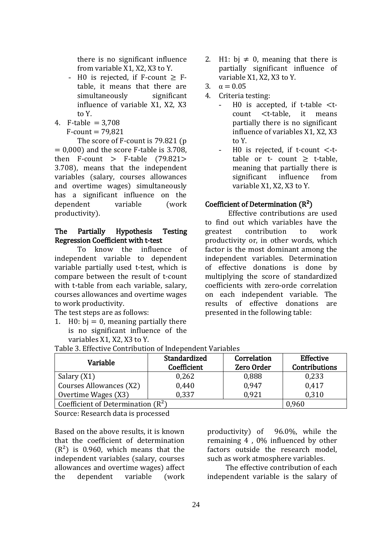there is no significant influence from variable X1, X2, X3 to Y.

- $-$  H0 is rejected, if F-count  $>$  Ftable, it means that there are simultaneously significant influence of variable X1, X2, X3 to Y.
- 4. F-table  $= 3.708$ 
	- $F$ -count = 79.821

The score of F-count is 79.821 (p  $= 0.000$  and the score F-table is 3.708. then  $F$ -count >  $F$ -table (79.821> 3.708), means that the independent variables (salary, courses allowances and overtime wages) simultaneously has a significant influence on the dependent variable (work productivity).

### The Partially Hypothesis Testing Regression Coefficient with t-test

To know the influence of independent variable to dependent variable partially used t-test, which is compare between the result of t-count with t-table from each variable, salary. courses allowances and overtime wages to work productivity.

The test steps are as follows:

1. H0:  $bj = 0$ , meaning partially there is no significant influence of the variables X1, X2, X3 to Y.

- 2. H1: bj  $\neq$  0, meaning that there is partially significant influence of variable X1, X2, X3 to Y.
- 3.  $\alpha = 0.05$
- 4. Criteria testing:
	- H0 is accepted, if t-table  $lt$ tcount <t-table, it means partially there is no significant influence of variables X1, X2, X3 to Y.
	- H0 is rejected, if t-count  $\lt$ -ttable or  $t$ - count  $>$  t-table. meaning that partially there is significant influence from variable X1, X2, X3 to Y.

### Coefficient of Determination  $(R<sup>2</sup>)$

Effective contributions are used to find out which variables have the greatest contribution to work productivity or, in other words, which factor is the most dominant among the independent variables. Determination of effective donations is done by multiplying the score of standardized coefficients with zero-orde correlation on each independent variable. The results of effective donations are presented in the following table:

| Variable                             | Standardized<br>Coefficient | Correlation<br><b>Zero Order</b> | <b>Effective</b><br><b>Contributions</b> |
|--------------------------------------|-----------------------------|----------------------------------|------------------------------------------|
| Salary (X1)                          | 0,262                       | 0,888                            | 0,233                                    |
| Courses Allowances (X2)              | 0,440                       | 0.947                            | 0,417                                    |
| Overtime Wages (X3)                  | 0.337                       | 0,921                            | 0,310                                    |
| Coefficient of Determination $(R^2)$ | 0,960                       |                                  |                                          |

Table 3. Effective Contribution of Independent Variables

Source: Research data is processed

Based on the above results, it is known that the coefficient of determination  $(R<sup>2</sup>)$  is 0.960, which means that the independent variables (salary, courses allowances and overtime wages) affect the dependent variable (work productivity) of 96.0%, while the remaining 4 , 0% influenced by other factors outside the research model, such as work atmosphere variables.

The effective contribution of each independent variable is the salary of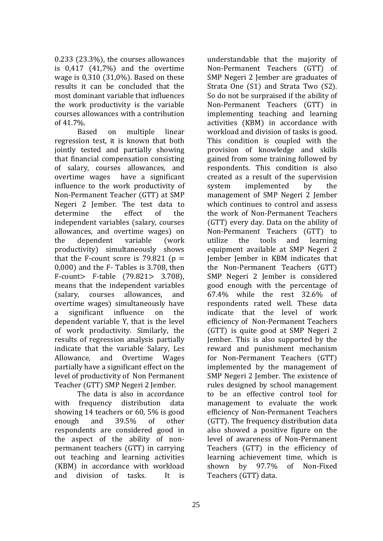0.233 (23.3%), the courses allowances is 0,417 (41,7%) and the overtime wage is 0,310 (31,0%). Based on these results it can be concluded that the most dominant variable that influences the work productivity is the variable courses allowances with a contribution of 41.7%.

Based on multiple linear regression test, it is known that both jointly tested and partially showing that financial compensation consisting of salary, courses allowances, and overtime wages have a significant influence to the work productivity of Non-Permanent Teacher (GTT) at SMP Negeri 2 Jember. The test data to determine the effect of the independent variables (salary, courses allowances, and overtime wages) on the dependent variable (work productivity) simultaneously shows that the F-count score is 79.821 ( $p =$ 0,000) and the F- Tables is 3.708, then F-count> F-table (79.821> 3.708), means that the independent variables (salary, courses allowances, and overtime wages) simultaneously have a significant influence on the dependent variable Y, that is the level of work productivity. Similarly, the results of regression analysis partially indicate that the variable Salary, Les Allowance, and Overtime Wages partially have a significant effect on the level of productivity of Non Permanent Teacher (GTT) SMP Negeri 2 Jember.

The data is also in accordance with frequency distribution data showing 14 teachers or 60, 5% is good enough and 39.5% of other respondents are considered good in the aspect of the ability of nonpermanent teachers (GTT) in carrying out teaching and learning activities (KBM) in accordance with workload and division of tasks. It is

understandable that the majority of Non-Permanent Teachers (GTT) of SMP Negeri 2 Jember are graduates of Strata One (S1) and Strata Two (S2). So do not be surpraised if the ability of Non-Permanent Teachers (GTT) in implementing teaching and learning activities (KBM) in accordance with workload and division of tasks is good. This condition is coupled with the provision of knowledge and skills gained from some training followed by respondents. This condition is also created as a result of the supervision system implemented by the management of SMP Negeri 2 Jember which continues to control and assess the work of Non-Permanent Teachers (GTT) every day. Data on the ability of Non-Permanent Teachers (GTT) to utilize the tools and learning equipment available at SMP Negeri 2 Jember Jember in KBM indicates that the Non-Permanent Teachers (GTT) SMP Negeri 2 Jember is considered good enough with the percentage of 67.4% while the rest 32.6% of respondents rated well. These data indicate that the level of work efficiency of Non-Permanent Teachers (GTT) is quite good at SMP Negeri 2 Jember. This is also supported by the reward and punishment mechanism for Non-Permanent Teachers (GTT) implemented by the management of SMP Negeri 2 Jember. The existence of rules designed by school management to be an effective control tool for management to evaluate the work efficiency of Non-Permanent Teachers (GTT). The frequency distribution data also showed a positive figure on the level of awareness of Non-Permanent Teachers (GTT) in the efficiency of learning achievement time, which is shown by 97.7% of Non-Fixed Teachers (GTT) data.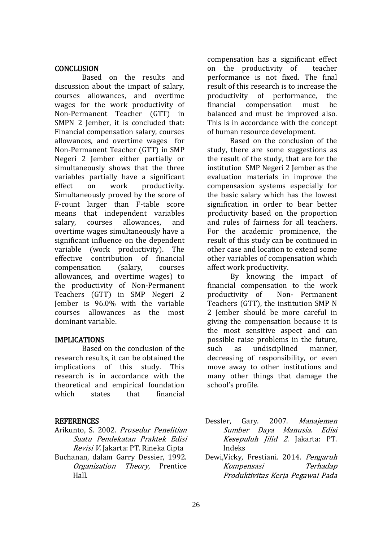# **CONCLUSION**

Based on the results and discussion about the impact of salary, courses allowances, and overtime wages for the work productivity of Non-Permanent Teacher (GTT) in SMPN 2 Jember, it is concluded that: Financial compensation salary, courses allowances, and overtime wages for Non-Permanent Teacher (GTT) in SMP Negeri 2 Jember either partially or simultaneously shows that the three variables partially have a significant effect on work productivity. Simultaneously proved by the score of F-count larger than F-table score means that independent variables salary, courses allowances, and overtime wages simultaneously have a significant influence on the dependent variable (work productivity). The effective contribution of financial compensation (salary, courses allowances, and overtime wages) to the productivity of Non-Permanent Teachers (GTT) in SMP Negeri 2 Jember is 96.0% with the variable courses allowances as the most dominant variable.

# IMPLICATIONS

Based on the conclusion of the research results, it can be obtained the implications of this study. This research is in accordance with the theoretical and empirical foundation which states that financial

# **REFERENCES**

- Arikunto, S. 2002. Prosedur Penelitian Suatu Pendekatan Praktek Edisi Revisi V. Jakarta: PT. Rineka Cipta
- Buchanan, dalam Garry Dessier, 1992. Organization Theory, Prentice Hall.

compensation has a significant effect on the productivity of teacher performance is not fixed. The final result of this research is to increase the productivity of performance, the financial compensation must be balanced and must be improved also. This is in accordance with the concept of human resource development.

Based on the conclusion of the study, there are some suggestions as the result of the study, that are for the institution SMP Negeri 2 Jember as the evaluation materials in improve the compensasion systems especially for the basic salary which has the lowest signification in order to bear better productivity based on the proportion and rules of fairness for all teachers. For the academic prominence, the result of this study can be continued in other case and location to extend some other variables of compensation which affect work productivity.

By knowing the impact of financial compensation to the work productivity of Non- Permanent Teachers (GTT), the institution SMP N 2 Jember should be more careful in giving the compensation because it is the most sensitive aspect and can possible raise problems in the future, such as undisciplined manner, decreasing of responsibility, or even move away to other institutions and many other things that damage the school's profile.

- Dessler, Gary. 2007. Manajemen Sumber Daya Manusia. Edisi Kesepuluh Jilid 2. Jakarta: PT. Indeks
- Dewi,Vicky, Frestiani. 2014. Pengaruh Kompensasi Terhadap Produktivitas Kerja Pegawai Pada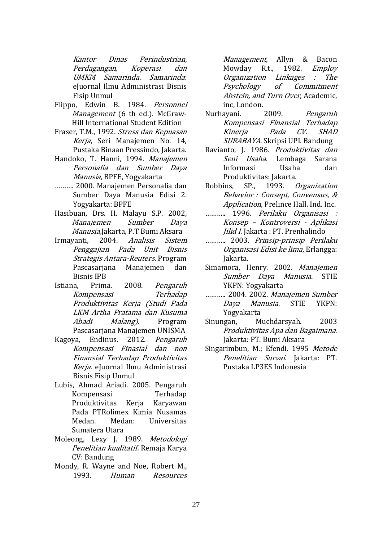Kantor Dinas Perindustrian, Perdagangan, Koperasi dan UMKM Samarinda. Samarinda: eJuornal Ilmu Administrasi Bisnis Fisip Unmul

- Flippo, Edwin B. 1984. Personnel Management (6 th ed.). McGraw-Hill International Student Edition
- Fraser, T.M., 1992. Stress dan Kepuasan Kerja, Seri Manajemen No. 14, Pustaka Binaan Pressindo, Jakarta.
- Handoko, T. Hanni, 1994. Manajemen Personalia dan Sumber Daya Manusia, BPFE, Yogyakarta
- ………. 2000. Manajemen Personalia dan Sumber Daya Manusia Edisi 2. Yogyakarta: BPFE
- Hasibuan, Drs. H. Malayu S.P. 2002, Manajemen Sumber Daya Manusia,Jakarta, P.T Bumi Aksara
- Irmayanti, 2004. Analisis Sistem Penggajian Pada Unit Bisnis Strategis Antara-Reuters. Program Pascasarjana Manajemen dan Bisnis IPB
- Istiana, Prima. 2008. Pengaruh Kompensasi Terhadap Produktivitas Kerja (Studi Pada LKM Artha Pratama dan Kusuma Abadi Malang). Program Pascasarjana Manajemen UNISMA
- Kagoya, Endinus. 2012. Pengaruh Kompensasi Finasial dan non Finansial Terhadap Produktivitas Kerja. eJuornal Ilmu Administrasi Bisnis Fisip Unmul
- Lubis, Ahmad Ariadi. 2005. Pengaruh Kompensasi Terhadap Produktivitas Kerja Karyawan Pada PTRolimex Kimia Nusamas Medan. Medan: Universitas Sumatera Utara
- Moleong, Lexy J. 1989. Metodologi Penelitian kualitatif. Remaja Karya CV: Bandung
- Mondy, R. Wayne and Noe, Robert M., 1993. Human Resources

Management, Allyn & Bacon Mowday R.t., 1982. Employ Organization Linkages : The Psychology of Commitment Abstein, and Turn Over, Academic, inc, London.

- Nurhayani. 2009. Pengaruh Kompensasi Finansial Terhadap Kinerja Pada CV. SHAD SURABAYA. Skripsi UPI. Bandung
- Ravianto, J. 1986. Produktivitas dan Seni Usaha. Lembaga Sarana Informasi Usaha dan Produktivitas: Jakarta.
- Robbins, SP., 1993. Organization Behavior : Consept, Convensus, & Application, Prelince Hall. Ind. Inc.
- ……….. 1996. Perilaku Organisasi : Konsep – Kontroversi - Aplikasi Jilid I. Jakarta : PT. Prenhalindo
- ……….. 2003. Prinsip-prinsip Perilaku Organisasi Edisi ke lima, Erlangga: Jakarta.
- Simamora, Henry. 2002. Manajemen Sumber Daya Manusia. STIE YKPN: Yogyakarta
- ……….. 2004. 2002. Manajemen Sumber Daya Manusia. STIE YKPN: Yogyakarta
- Sinungan, Muchdarsyah. 2003 Produktivitas Apa dan Bagaimana. Jakarta: PT. Bumi Aksara
- Singarimbun, M.; Efendi. 1995 Metode Penelitian Survai. Jakarta: PT. Pustaka LP3ES Indonesia